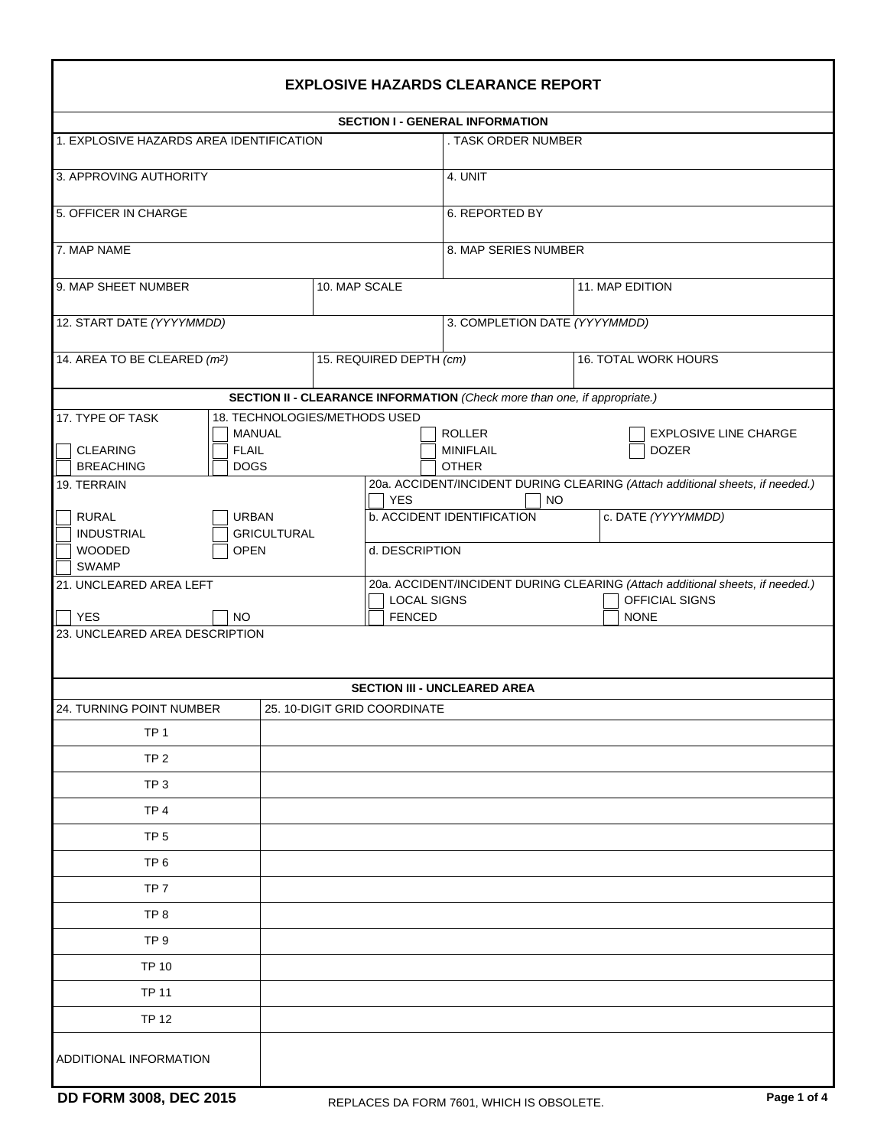|                                                                                        |                                                | <b>EXPLOSIVE HAZARDS CLEARANCE REPORT</b>                                 |                                                                               |  |  |  |  |  |  |  |
|----------------------------------------------------------------------------------------|------------------------------------------------|---------------------------------------------------------------------------|-------------------------------------------------------------------------------|--|--|--|--|--|--|--|
|                                                                                        |                                                | <b>SECTION I - GENERAL INFORMATION</b>                                    |                                                                               |  |  |  |  |  |  |  |
| 1. EXPLOSIVE HAZARDS AREA IDENTIFICATION                                               |                                                | . TASK ORDER NUMBER                                                       |                                                                               |  |  |  |  |  |  |  |
| 3. APPROVING AUTHORITY                                                                 |                                                | 4. UNIT                                                                   |                                                                               |  |  |  |  |  |  |  |
| 5. OFFICER IN CHARGE                                                                   |                                                | 6. REPORTED BY                                                            |                                                                               |  |  |  |  |  |  |  |
|                                                                                        |                                                |                                                                           |                                                                               |  |  |  |  |  |  |  |
| 7. MAP NAME                                                                            |                                                | 8. MAP SERIES NUMBER                                                      |                                                                               |  |  |  |  |  |  |  |
| 9. MAP SHEET NUMBER                                                                    | 10. MAP SCALE                                  |                                                                           | 11. MAP EDITION                                                               |  |  |  |  |  |  |  |
| 12. START DATE (YYYYMMDD)                                                              |                                                |                                                                           | 3. COMPLETION DATE (YYYYMMDD)                                                 |  |  |  |  |  |  |  |
| 14. AREA TO BE CLEARED (m <sup>2</sup> )                                               | 15. REQUIRED DEPTH (cm)                        |                                                                           | 16. TOTAL WORK HOURS                                                          |  |  |  |  |  |  |  |
|                                                                                        |                                                | SECTION II - CLEARANCE INFORMATION (Check more than one, if appropriate.) |                                                                               |  |  |  |  |  |  |  |
| 17. TYPE OF TASK<br><b>CLEARING</b><br><b>FLAIL</b><br><b>BREACHING</b><br><b>DOGS</b> | 18. TECHNOLOGIES/METHODS USED<br><b>MANUAL</b> | <b>ROLLER</b><br><b>MINIFLAIL</b><br><b>OTHER</b>                         | <b>EXPLOSIVE LINE CHARGE</b><br><b>DOZER</b>                                  |  |  |  |  |  |  |  |
| 19. TERRAIN                                                                            | <b>YES</b>                                     | <b>NO</b>                                                                 | 20a. ACCIDENT/INCIDENT DURING CLEARING (Attach additional sheets, if needed.) |  |  |  |  |  |  |  |
| <b>RURAL</b><br><b>URBAN</b><br><b>INDUSTRIAL</b><br><b>WOODED</b><br><b>OPEN</b>      | <b>GRICULTURAL</b>                             | <b>b. ACCIDENT IDENTIFICATION</b><br>d. DESCRIPTION                       | c. DATE (YYYYMMDD)                                                            |  |  |  |  |  |  |  |
| <b>SWAMP</b><br>21. UNCLEARED AREA LEFT                                                |                                                |                                                                           | 20a. ACCIDENT/INCIDENT DURING CLEARING (Attach additional sheets, if needed.) |  |  |  |  |  |  |  |
| <b>YES</b><br><b>FENCED</b><br>NO.                                                     |                                                | <b>LOCAL SIGNS</b>                                                        | OFFICIAL SIGNS<br><b>NONE</b>                                                 |  |  |  |  |  |  |  |
| 23. UNCLEARED AREA DESCRIPTION                                                         |                                                |                                                                           |                                                                               |  |  |  |  |  |  |  |
|                                                                                        |                                                | <b>SECTION III - UNCLEARED AREA</b>                                       |                                                                               |  |  |  |  |  |  |  |
| 24. TURNING POINT NUMBER                                                               | 25. 10-DIGIT GRID COORDINATE                   |                                                                           |                                                                               |  |  |  |  |  |  |  |
| TP <sub>1</sub>                                                                        |                                                |                                                                           |                                                                               |  |  |  |  |  |  |  |
| TP <sub>2</sub>                                                                        |                                                |                                                                           |                                                                               |  |  |  |  |  |  |  |
| TP <sub>3</sub>                                                                        |                                                |                                                                           |                                                                               |  |  |  |  |  |  |  |
| TP <sub>4</sub>                                                                        |                                                |                                                                           |                                                                               |  |  |  |  |  |  |  |
| TP <sub>5</sub>                                                                        |                                                |                                                                           |                                                                               |  |  |  |  |  |  |  |
| TP <sub>6</sub>                                                                        |                                                |                                                                           |                                                                               |  |  |  |  |  |  |  |
| TP <sub>7</sub>                                                                        |                                                |                                                                           |                                                                               |  |  |  |  |  |  |  |
| TP <sub>8</sub>                                                                        |                                                |                                                                           |                                                                               |  |  |  |  |  |  |  |
| TP <sub>9</sub>                                                                        |                                                |                                                                           |                                                                               |  |  |  |  |  |  |  |
| <b>TP 10</b>                                                                           |                                                |                                                                           |                                                                               |  |  |  |  |  |  |  |
| <b>TP 11</b>                                                                           |                                                |                                                                           |                                                                               |  |  |  |  |  |  |  |
| <b>TP 12</b>                                                                           |                                                |                                                                           |                                                                               |  |  |  |  |  |  |  |
| ADDITIONAL INFORMATION                                                                 |                                                |                                                                           |                                                                               |  |  |  |  |  |  |  |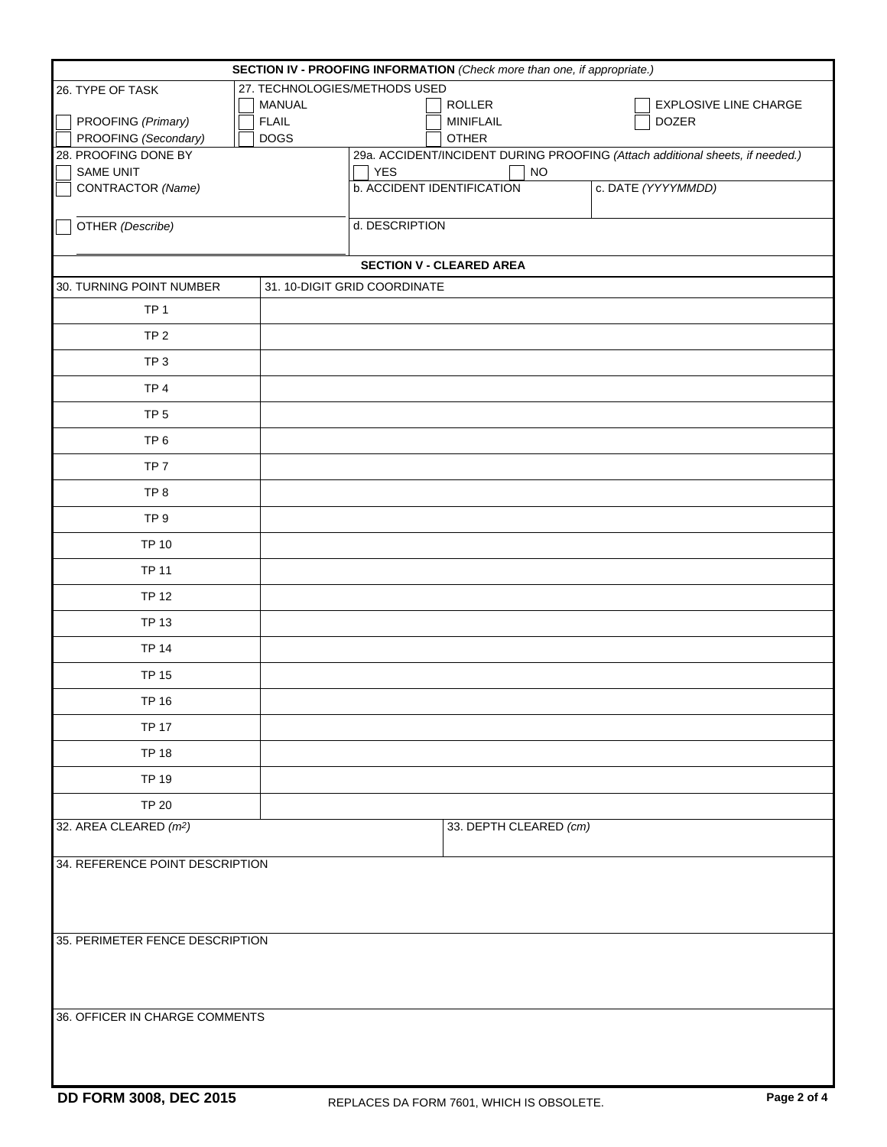| SECTION IV - PROOFING INFORMATION (Check more than one, if appropriate.) |               |                                   |                                                                               |  |  |  |  |  |
|--------------------------------------------------------------------------|---------------|-----------------------------------|-------------------------------------------------------------------------------|--|--|--|--|--|
| 27. TECHNOLOGIES/METHODS USED<br>26. TYPE OF TASK                        |               |                                   |                                                                               |  |  |  |  |  |
|                                                                          | <b>MANUAL</b> | <b>ROLLER</b>                     | <b>EXPLOSIVE LINE CHARGE</b>                                                  |  |  |  |  |  |
| PROOFING (Primary)                                                       | <b>FLAIL</b>  | MINIFLAIL                         | <b>DOZER</b>                                                                  |  |  |  |  |  |
| PROOFING (Secondary)                                                     | <b>DOGS</b>   | <b>OTHER</b>                      |                                                                               |  |  |  |  |  |
| 28. PROOFING DONE BY                                                     |               |                                   | 29a. ACCIDENT/INCIDENT DURING PROOFING (Attach additional sheets, if needed.) |  |  |  |  |  |
| SAME UNIT                                                                |               | <b>YES</b><br><b>NO</b>           |                                                                               |  |  |  |  |  |
| CONTRACTOR (Name)                                                        |               | <b>b. ACCIDENT IDENTIFICATION</b> | c. DATE (YYYYMMDD)                                                            |  |  |  |  |  |
| OTHER (Describe)                                                         |               | d. DESCRIPTION                    |                                                                               |  |  |  |  |  |
|                                                                          |               | <b>SECTION V - CLEARED AREA</b>   |                                                                               |  |  |  |  |  |
| 30. TURNING POINT NUMBER                                                 |               | 31. 10-DIGIT GRID COORDINATE      |                                                                               |  |  |  |  |  |
| TP <sub>1</sub>                                                          |               |                                   |                                                                               |  |  |  |  |  |
| TP <sub>2</sub>                                                          |               |                                   |                                                                               |  |  |  |  |  |
| TP <sub>3</sub>                                                          |               |                                   |                                                                               |  |  |  |  |  |
| TP <sub>4</sub>                                                          |               |                                   |                                                                               |  |  |  |  |  |
| TP <sub>5</sub>                                                          |               |                                   |                                                                               |  |  |  |  |  |
| TP <sub>6</sub>                                                          |               |                                   |                                                                               |  |  |  |  |  |
| TP <sub>7</sub>                                                          |               |                                   |                                                                               |  |  |  |  |  |
| TP <sub>8</sub>                                                          |               |                                   |                                                                               |  |  |  |  |  |
| TP <sub>9</sub>                                                          |               |                                   |                                                                               |  |  |  |  |  |
| <b>TP 10</b>                                                             |               |                                   |                                                                               |  |  |  |  |  |
| <b>TP 11</b>                                                             |               |                                   |                                                                               |  |  |  |  |  |
| <b>TP 12</b>                                                             |               |                                   |                                                                               |  |  |  |  |  |
| <b>TP 13</b>                                                             |               |                                   |                                                                               |  |  |  |  |  |
| <b>TP 14</b>                                                             |               |                                   |                                                                               |  |  |  |  |  |
| <b>TP 15</b>                                                             |               |                                   |                                                                               |  |  |  |  |  |
| <b>TP 16</b>                                                             |               |                                   |                                                                               |  |  |  |  |  |
| <b>TP 17</b>                                                             |               |                                   |                                                                               |  |  |  |  |  |
| <b>TP 18</b>                                                             |               |                                   |                                                                               |  |  |  |  |  |
| <b>TP 19</b>                                                             |               |                                   |                                                                               |  |  |  |  |  |
| <b>TP 20</b>                                                             |               |                                   |                                                                               |  |  |  |  |  |
| 32. AREA CLEARED (m <sup>2</sup> )                                       |               | 33. DEPTH CLEARED (cm)            |                                                                               |  |  |  |  |  |
| 34. REFERENCE POINT DESCRIPTION                                          |               |                                   |                                                                               |  |  |  |  |  |
|                                                                          |               |                                   |                                                                               |  |  |  |  |  |
|                                                                          |               |                                   |                                                                               |  |  |  |  |  |
|                                                                          |               |                                   |                                                                               |  |  |  |  |  |
| 35. PERIMETER FENCE DESCRIPTION                                          |               |                                   |                                                                               |  |  |  |  |  |
|                                                                          |               |                                   |                                                                               |  |  |  |  |  |
|                                                                          |               |                                   |                                                                               |  |  |  |  |  |
|                                                                          |               |                                   |                                                                               |  |  |  |  |  |
| 36. OFFICER IN CHARGE COMMENTS                                           |               |                                   |                                                                               |  |  |  |  |  |
|                                                                          |               |                                   |                                                                               |  |  |  |  |  |
|                                                                          |               |                                   |                                                                               |  |  |  |  |  |
|                                                                          |               |                                   |                                                                               |  |  |  |  |  |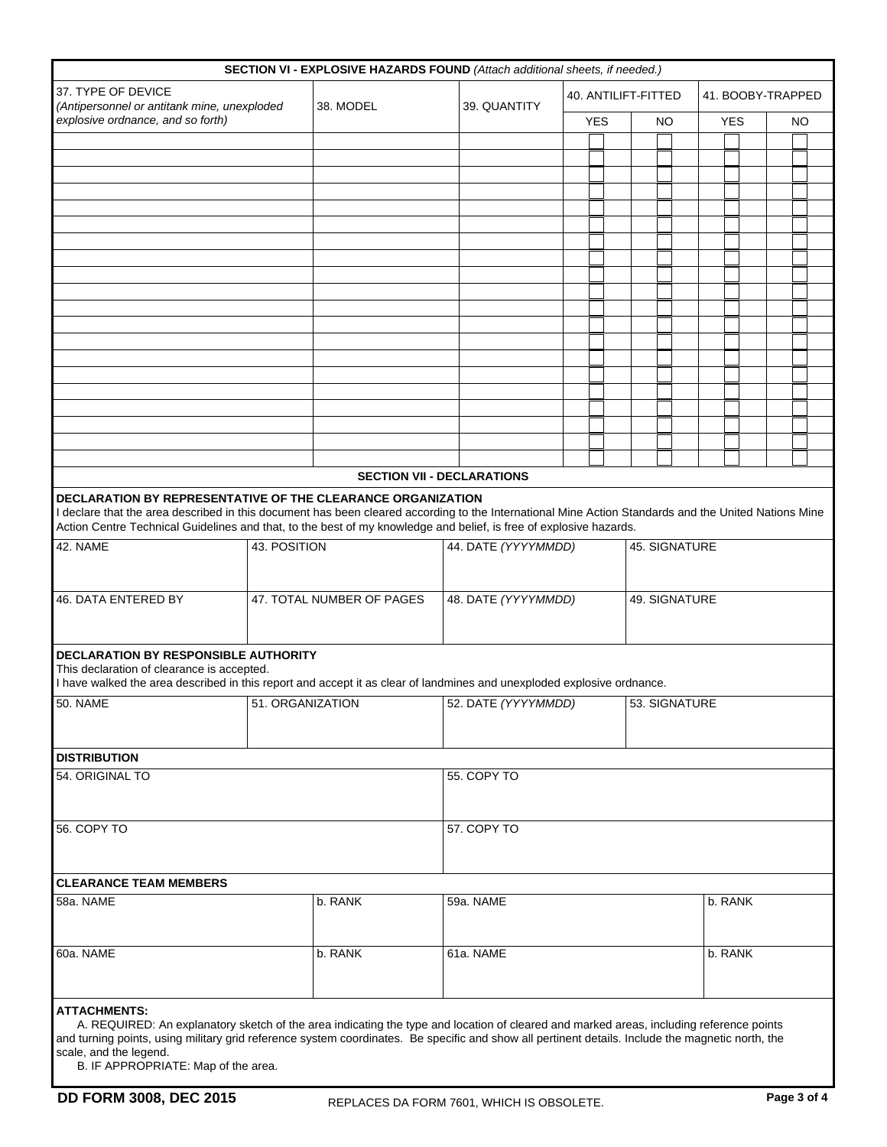|                                                                                                                                                                                                                                                                                                                                                  |              | SECTION VI - EXPLOSIVE HAZARDS FOUND (Attach additional sheets, if needed.) |                                      |                     |  |    |               |               |            |                   |         |  |  |  |  |
|--------------------------------------------------------------------------------------------------------------------------------------------------------------------------------------------------------------------------------------------------------------------------------------------------------------------------------------------------|--------------|-----------------------------------------------------------------------------|--------------------------------------|---------------------|--|----|---------------|---------------|------------|-------------------|---------|--|--|--|--|
| 37. TYPE OF DEVICE<br>(Antipersonnel or antitank mine, unexploded<br>explosive ordnance, and so forth)                                                                                                                                                                                                                                           |              | 38. MODEL                                                                   | 39. QUANTITY                         | 40. ANTILIFT-FITTED |  |    |               |               |            | 41. BOOBY-TRAPPED |         |  |  |  |  |
|                                                                                                                                                                                                                                                                                                                                                  |              |                                                                             |                                      | <b>YES</b>          |  | NO |               |               | <b>YES</b> |                   | NO      |  |  |  |  |
|                                                                                                                                                                                                                                                                                                                                                  |              |                                                                             |                                      |                     |  |    |               |               |            |                   |         |  |  |  |  |
|                                                                                                                                                                                                                                                                                                                                                  |              |                                                                             |                                      |                     |  |    |               |               |            |                   |         |  |  |  |  |
|                                                                                                                                                                                                                                                                                                                                                  |              |                                                                             |                                      |                     |  |    |               |               |            |                   |         |  |  |  |  |
|                                                                                                                                                                                                                                                                                                                                                  |              |                                                                             |                                      |                     |  |    |               |               |            |                   |         |  |  |  |  |
|                                                                                                                                                                                                                                                                                                                                                  |              |                                                                             |                                      |                     |  |    |               |               |            |                   |         |  |  |  |  |
|                                                                                                                                                                                                                                                                                                                                                  |              |                                                                             |                                      |                     |  |    |               |               |            |                   |         |  |  |  |  |
|                                                                                                                                                                                                                                                                                                                                                  |              |                                                                             |                                      |                     |  |    |               |               |            |                   |         |  |  |  |  |
|                                                                                                                                                                                                                                                                                                                                                  |              |                                                                             |                                      |                     |  |    |               |               |            |                   |         |  |  |  |  |
|                                                                                                                                                                                                                                                                                                                                                  |              |                                                                             |                                      |                     |  |    |               |               |            |                   |         |  |  |  |  |
|                                                                                                                                                                                                                                                                                                                                                  |              |                                                                             |                                      |                     |  |    |               |               |            |                   |         |  |  |  |  |
|                                                                                                                                                                                                                                                                                                                                                  |              |                                                                             |                                      |                     |  |    |               |               |            |                   |         |  |  |  |  |
|                                                                                                                                                                                                                                                                                                                                                  |              |                                                                             |                                      |                     |  |    |               |               |            |                   |         |  |  |  |  |
|                                                                                                                                                                                                                                                                                                                                                  |              |                                                                             |                                      |                     |  |    |               |               |            |                   |         |  |  |  |  |
|                                                                                                                                                                                                                                                                                                                                                  |              |                                                                             |                                      |                     |  |    |               |               |            |                   |         |  |  |  |  |
|                                                                                                                                                                                                                                                                                                                                                  |              |                                                                             |                                      |                     |  |    |               |               |            |                   |         |  |  |  |  |
|                                                                                                                                                                                                                                                                                                                                                  |              |                                                                             |                                      |                     |  |    |               |               |            |                   |         |  |  |  |  |
|                                                                                                                                                                                                                                                                                                                                                  |              |                                                                             |                                      |                     |  |    |               |               |            |                   |         |  |  |  |  |
|                                                                                                                                                                                                                                                                                                                                                  |              |                                                                             |                                      |                     |  |    |               |               |            |                   |         |  |  |  |  |
|                                                                                                                                                                                                                                                                                                                                                  |              |                                                                             |                                      |                     |  |    |               |               |            |                   |         |  |  |  |  |
|                                                                                                                                                                                                                                                                                                                                                  |              |                                                                             | <b>SECTION VII - DECLARATIONS</b>    |                     |  |    |               |               |            |                   |         |  |  |  |  |
| <b>DECLARATION BY REPRESENTATIVE OF THE CLEARANCE ORGANIZATION</b><br>I declare that the area described in this document has been cleared according to the International Mine Action Standards and the United Nations Mine<br>Action Centre Technical Guidelines and that, to the best of my knowledge and belief, is free of explosive hazards. |              |                                                                             |                                      |                     |  |    |               |               |            |                   |         |  |  |  |  |
| 42. NAME                                                                                                                                                                                                                                                                                                                                         | 43. POSITION |                                                                             | 44. DATE (YYYYMMDD)<br>45. SIGNATURE |                     |  |    |               |               |            |                   |         |  |  |  |  |
|                                                                                                                                                                                                                                                                                                                                                  |              |                                                                             |                                      |                     |  |    |               |               |            |                   |         |  |  |  |  |
|                                                                                                                                                                                                                                                                                                                                                  |              |                                                                             |                                      |                     |  |    |               |               |            |                   |         |  |  |  |  |
| 46. DATA ENTERED BY                                                                                                                                                                                                                                                                                                                              |              | 47. TOTAL NUMBER OF PAGES                                                   | 48. DATE (YYYYMMDD)                  |                     |  |    |               | 49. SIGNATURE |            |                   |         |  |  |  |  |
|                                                                                                                                                                                                                                                                                                                                                  |              |                                                                             |                                      |                     |  |    |               |               |            |                   |         |  |  |  |  |
|                                                                                                                                                                                                                                                                                                                                                  |              |                                                                             |                                      |                     |  |    |               |               |            |                   |         |  |  |  |  |
| <b>DECLARATION BY RESPONSIBLE AUTHORITY</b>                                                                                                                                                                                                                                                                                                      |              |                                                                             |                                      |                     |  |    |               |               |            |                   |         |  |  |  |  |
| This declaration of clearance is accepted.                                                                                                                                                                                                                                                                                                       |              |                                                                             |                                      |                     |  |    |               |               |            |                   |         |  |  |  |  |
| I have walked the area described in this report and accept it as clear of landmines and unexploded explosive ordnance.                                                                                                                                                                                                                           |              |                                                                             |                                      |                     |  |    |               |               |            |                   |         |  |  |  |  |
| 50. NAME<br>51. ORGANIZATION                                                                                                                                                                                                                                                                                                                     |              |                                                                             | 52. DATE (YYYYMMDD)                  |                     |  |    | 53. SIGNATURE |               |            |                   |         |  |  |  |  |
|                                                                                                                                                                                                                                                                                                                                                  |              |                                                                             |                                      |                     |  |    |               |               |            |                   |         |  |  |  |  |
|                                                                                                                                                                                                                                                                                                                                                  |              |                                                                             |                                      |                     |  |    |               |               |            |                   |         |  |  |  |  |
| <b>DISTRIBUTION</b>                                                                                                                                                                                                                                                                                                                              |              |                                                                             |                                      |                     |  |    |               |               |            |                   |         |  |  |  |  |
| 54. ORIGINAL TO                                                                                                                                                                                                                                                                                                                                  |              | 55. COPY TO                                                                 |                                      |                     |  |    |               |               |            |                   |         |  |  |  |  |
|                                                                                                                                                                                                                                                                                                                                                  |              |                                                                             |                                      |                     |  |    |               |               |            |                   |         |  |  |  |  |
|                                                                                                                                                                                                                                                                                                                                                  |              |                                                                             |                                      |                     |  |    |               |               |            |                   |         |  |  |  |  |
| 56. COPY TO                                                                                                                                                                                                                                                                                                                                      |              |                                                                             | 57. COPY TO                          |                     |  |    |               |               |            |                   |         |  |  |  |  |
|                                                                                                                                                                                                                                                                                                                                                  |              |                                                                             |                                      |                     |  |    |               |               |            |                   |         |  |  |  |  |
|                                                                                                                                                                                                                                                                                                                                                  |              |                                                                             |                                      |                     |  |    |               |               |            |                   |         |  |  |  |  |
| <b>CLEARANCE TEAM MEMBERS</b>                                                                                                                                                                                                                                                                                                                    |              |                                                                             |                                      |                     |  |    |               |               |            |                   |         |  |  |  |  |
| 58a. NAME                                                                                                                                                                                                                                                                                                                                        |              | b. RANK                                                                     | 59a. NAME                            |                     |  |    |               |               |            |                   | b. RANK |  |  |  |  |
|                                                                                                                                                                                                                                                                                                                                                  |              |                                                                             |                                      |                     |  |    |               |               |            |                   |         |  |  |  |  |
|                                                                                                                                                                                                                                                                                                                                                  |              |                                                                             |                                      |                     |  |    |               |               |            |                   |         |  |  |  |  |
| 60a. NAME                                                                                                                                                                                                                                                                                                                                        |              | b. RANK                                                                     | 61a. NAME                            |                     |  |    | b. RANK       |               |            |                   |         |  |  |  |  |
|                                                                                                                                                                                                                                                                                                                                                  |              |                                                                             |                                      |                     |  |    |               |               |            |                   |         |  |  |  |  |
|                                                                                                                                                                                                                                                                                                                                                  |              |                                                                             |                                      |                     |  |    |               |               |            |                   |         |  |  |  |  |
| <b>ATTACHMENTS:</b>                                                                                                                                                                                                                                                                                                                              |              |                                                                             |                                      |                     |  |    |               |               |            |                   |         |  |  |  |  |
| A. REQUIRED: An explanatory sketch of the area indicating the type and location of cleared and marked areas, including reference points<br>and turning points, using military grid reference system coordinates. Be specific and show all pertinent details. Include the magnetic north, the                                                     |              |                                                                             |                                      |                     |  |    |               |               |            |                   |         |  |  |  |  |
|                                                                                                                                                                                                                                                                                                                                                  |              |                                                                             |                                      |                     |  |    |               |               |            |                   |         |  |  |  |  |

scale, and the legend.

B. IF APPROPRIATE: Map of the area.